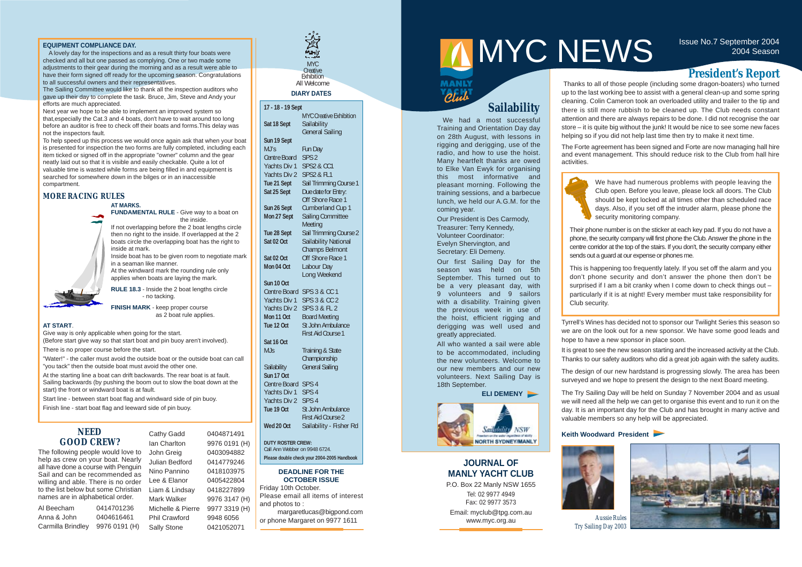#### **EQUIPMENT COMPLIANCE DAY.**

A lovely day for the inspections and as a result thirty four boats were checked and all but one passed as complying. One or two made some adjustments to their gear during the morning and as a result were able to have their form signed off ready for the upcoming season. Congratulations to all successful owners and their representatives.

The Sailing Committee would like to thank all the inspection auditors who gave up their day to complete the task. Bruce, Jim, Steve and Andy your efforts are much appreciated.

Next year we hope to be able to implement an improved system so that,especially the Cat.3 and 4 boats, don't have to wait around too long before an auditor is free to check off their boats and forms.This delay was not the inspectors fault.

To help speed up this process we would once again ask that when your boat is presented for inspection the two forms are fully completed, including each item ticked or signed off in the appropriate "owner" column and the gear neatly laid out so that it is visible and easily checkable. Quite a lot of valuable time is wasted while forms are being filled in and equipment is searched for somewhere down in the bilges or in an inaccessible compartment.

#### **MORE RACING RULES**

#### **AT MARKS.**

**FUNDAMENTAL RULE** - Give way to a boat on the inside.

If not overlapping before the 2 boat lengths circle then no right to the inside. If overlapped at the 2 boats circle the overlapping boat has the right to inside at mark.

Inside boat has to be given room to negotiate mark in a seaman like manner.

At the windward mark the rounding rule only applies when boats are laying the mark.

Thanks to all of those people (including some dragon-boaters) who turned up to the last working bee to assist with a general clean-up and some spring cleaning. Colin Cameron took an overloaded utility and trailer to the tip and there is still more rubbish to be cleaned up. The Club needs constant attention and there are always repairs to be done. I did not recognise the oar store – it is quite big without the junk! It would be nice to see some new faces helping so if you did not help last time then try to make it next time.

**RULE 18.3** - Inside the 2 boat lengths circle - no tacking.

**FINISH MARK** - keep proper course as 2 boat rule applies.

#### **AT START**.

Give way is only applicable when going for the start.

(Before start give way so that start boat and pin buoy aren't involved).

There is no proper course before the start.

"Water!" - the caller must avoid the outside boat or the outside boat can call "you tack" then the outside boat must avoid the other one.

At the starting line a boat can drift backwards. The rear boat is at fault. Sailing backwards (by pushing the boom out to slow the boat down at the start) the front or windward boat is at fault.

Start line - between start boat flag and windward side of pin buoy.

Finish line - start boat flag and leeward side of pin buoy.

### **JOURNAL OF MANLY YACHT CLUB**

P.O. Box 22 Manly NSW 1655 Tel: 02 9977 4949 Fax: 02 9977 3573 Email: myclub@tpg.com.au www.myc.org.au

#### **DEADLINE FOR THE OCTOBER ISSUE**

Friday 10th October. Please email all items of interest and photos to :

margaretlucas@bigpond.com or phone Margaret on 9977 1611

# MYCNEWS ISSUE NO.7 September 2004

The Forte agreement has been signed and Forte are now managing hall hire and event management. This should reduce risk to the Club from hall hire activities.



Tyrrell's Wines has decided not to sponsor our Twilight Series this season so we are on the look out for a new sponsor. We have some good leads and hope to have a new sponsor in place soon.

It is great to see the new season starting and the increased activity at the Club. Thanks to our safety auditors who did a great job again with the safety audits.



The design of our new hardstand is progressing slowly. The area has been surveyed and we hope to present the design to the next Board meeting.

The Try Sailing Day will be held on Sunday 7 November 2004 and as usual we will need all the help we can get to organise this event and to run it on the day. It is an important day for the Club and has brought in many active and valuable members so any help will be appreciated.

#### **Keith Woodward President**

| 17 - 18 - 19 Sept                           |                                |  |  |  |  |  |
|---------------------------------------------|--------------------------------|--|--|--|--|--|
|                                             | <b>MYC Creative Exhibition</b> |  |  |  |  |  |
| Sat 18 Sept                                 | Sailability                    |  |  |  |  |  |
|                                             | <b>General Sailing</b>         |  |  |  |  |  |
| Sun 19 Sept                                 |                                |  |  |  |  |  |
| MJ's                                        | <b>Fun Day</b>                 |  |  |  |  |  |
| <b>Centre Board</b>                         | SPS <sub>2</sub>               |  |  |  |  |  |
| Yachts Div 1                                | <b>SPS2 &amp; CC1</b>          |  |  |  |  |  |
| Yachts Div 2                                | <b>SPS2 &amp; FL1</b>          |  |  |  |  |  |
| Tue 21 Sept                                 | Sail Trimming Course 1         |  |  |  |  |  |
| Sat 25 Sept                                 | Due date for Entry:            |  |  |  |  |  |
|                                             | Off Shore Race 1               |  |  |  |  |  |
| Sun 26 Sept                                 | <b>Cumberland Cup 1</b>        |  |  |  |  |  |
| Mon 27 Sept                                 | <b>Sailing Committee</b>       |  |  |  |  |  |
|                                             | Meeting                        |  |  |  |  |  |
| Tue 28 Sept                                 | Sail Trimming Course 2         |  |  |  |  |  |
| Sat 02 Oct                                  | Sailability National           |  |  |  |  |  |
|                                             | <b>Champs Belmont</b>          |  |  |  |  |  |
| Sat 02 Oct                                  | Off Shore Race 1               |  |  |  |  |  |
| Mon 04 Oct                                  | Labour Day                     |  |  |  |  |  |
|                                             | <b>Long Weekend</b>            |  |  |  |  |  |
| Sun 10 Oct                                  |                                |  |  |  |  |  |
| <b>Centre Board</b>                         | <b>SPS 3 &amp; CC 1</b>        |  |  |  |  |  |
| <b>Yachts Div 1</b>                         | <b>SPS 3 &amp; CC 2</b>        |  |  |  |  |  |
| Yachts Div 2                                | SPS 3 & FL 2                   |  |  |  |  |  |
| Mon 11 Oct                                  | <b>Board Meeting</b>           |  |  |  |  |  |
| Tue 12 Oct                                  | <b>St John Ambulance</b>       |  |  |  |  |  |
|                                             | <b>First Aid Course 1</b>      |  |  |  |  |  |
| Sat 16 Oct                                  |                                |  |  |  |  |  |
| MJs                                         | <b>Training &amp; State</b>    |  |  |  |  |  |
|                                             | Championship                   |  |  |  |  |  |
| Sailability                                 | <b>General Sailing</b>         |  |  |  |  |  |
| Sun 17 Oct                                  |                                |  |  |  |  |  |
| <b>Centre Board</b>                         | SPS <sub>4</sub>               |  |  |  |  |  |
| <b>Yachts Div 1</b>                         | SPS <sub>4</sub>               |  |  |  |  |  |
| Yachts Div 2                                | SPS <sub>4</sub>               |  |  |  |  |  |
| Tue 19 Oct                                  | St John Ambulance              |  |  |  |  |  |
|                                             | <b>First Aid Course 2</b>      |  |  |  |  |  |
| Wed 20 Oct                                  | Sailability - Fisher Rd        |  |  |  |  |  |
| <b>DUTY ROSTER CREW:</b>                    |                                |  |  |  |  |  |
| Call Ann Webber on 9948 6724.               |                                |  |  |  |  |  |
| Please double check your 2004-2005 Handbook |                                |  |  |  |  |  |
|                                             |                                |  |  |  |  |  |

#### **DIARY DATES**

We have had numerous problems with people leaving the Club open. Before you leave, please lock all doors. The Club should be kept locked at all times other than scheduled race days. Also, if you set off the intruder alarm, please phone the security monitoring company.

Their phone number is on the sticker at each key pad. If you do not have a phone, the security company will first phone the Club. Answer the phone in the centre corridor at the top of the stairs. If you don't, the security company either sends out a guard at our expense or phones me.

This is happening too frequently lately. If you set off the alarm and you don't phone security and don't answer the phone then don't be surprised if I am a bit cranky when I come down to check things out particularly if it is at night! Every member must take responsibility for

Club security.

### **Sailability**

We had a most successful Training and Orientation Day day on 28th August, with lessons in rigging and derigging, use of the radio, and how to use the hoist. Many heartfelt thanks are owed to Elke Van Ewyk for organising this most informative and pleasant morning. Following the training sessions, and a barbecue lunch, we held our A.G.M. for the coming year.

Our President is Des Carmody, Treasurer: Terry Kennedy, Volunteer Coordinator: Evelyn Shervington, and Secretary: Eli Demeny.

Our first Sailing Day for the season was held on 5th September. This turned out to be a very pleasant day, with 9 volunteers and 9 sailors with a disability. Training given the previous week in use of the hoist, efficient rigging and derigging was well used and greatly appreciated.

All who wanted a sail were able to be accommodated, including the new volunteers. Welcome to our new members and our new volunteers. Next Sailing Day is 18th September.

#### **ELI DEMENY**



### **President's Report**

#### **NEED GOOD CREW?**

The following people would love to help as crew on your boat. Nearly all have done a course with Penguin Sail and can be recommended as willing and able. There is no order to the list below but some Christian names are in alphabetical order.

| Al Beecham        | 0414701236    |  |  |  |  |
|-------------------|---------------|--|--|--|--|
| Anna & John       | 0404616461    |  |  |  |  |
| Carmilla Brindley | 9976 0191 (H) |  |  |  |  |

Cathy Gadd 0404871491 Ian Charlton 9976 0191 (H) John Greig 0403094882 Julian Bedford 0414779246 Nino Pannino 0418103975 Lee & Elanor 0405422804 Liam & Lindsay 0418227899 Mark Walker 9976 3147 (H) Michelle & Pierre 9977 3319 (H) Phil Crawford 9948 6056 Sally Stone 0421052071



*Aussie Rules Try Sailing Day 2003*

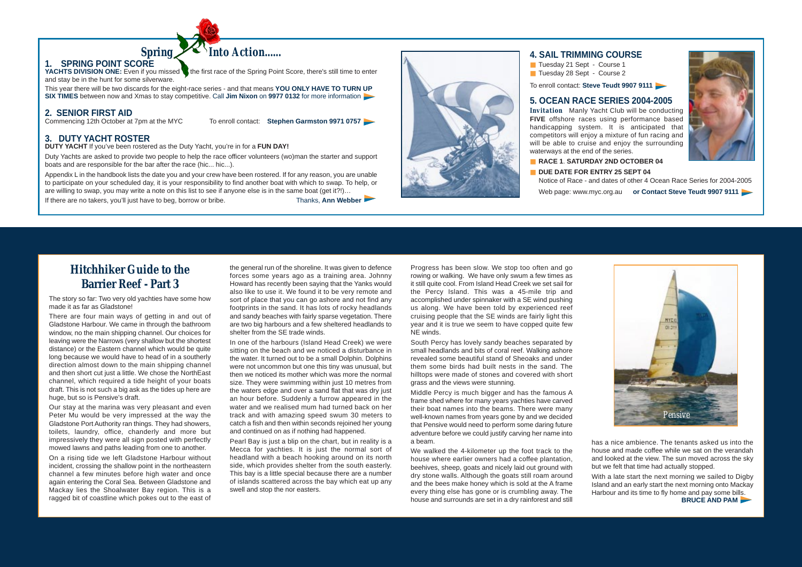### **4. SAIL TRIMMING COURSE**

- Tuesday 21 Sept Course 1
- Tuesday 28 Sept Course 2

To enroll contact: **Steve Teudt 9907 9111** 

### **5. OCEAN RACE SERIES 2004-2005**

*Invitation* Manly Yacht Club will be conducting **FIVE** offshore races using performance based handicapping system. It is anticipated that competitors will enjoy a mixture of fun racing and will be able to cruise and enjoy the surrounding waterways at the end of the series.

**DUE DATE FOR ENTRY 25 SEPT 04** Notice of Race - and dates of other 4 Ocean Race Series for 2004-2005 Web page: www.myc.org.au **or Contact Steve Teudt 9907 9111** 

■ **RACE 1**. **SATURDAY 2ND OCTOBER 04**

### **Hitchhiker Guide to the Barrier Reef - Part 3**

The story so far: Two very old yachties have some how made it as far as Gladstone!

There are four main ways of getting in and out of Gladstone Harbour. We came in through the bathroom window, no the main shipping channel. Our choices for leaving were the Narrows (very shallow but the shortest distance) or the Eastern channel which would be quite long because we would have to head of in a southerly direction almost down to the main shipping channel and then short cut just a little. We chose the NorthEast channel, which required a tide height of your boats draft. This is not such a big ask as the tides up here are huge, but so is Pensive's draft.

Our stay at the marina was very pleasant and even Peter Mu would be very impressed at the way the Gladstone Port Authority ran things. They had showers, toilets, laundry, office, chanderly and more but impressively they were all sign posted with perfectly mowed lawns and paths leading from one to another.

On a rising tide we left Gladstone Harbour without incident, crossing the shallow point in the northeastern channel a few minutes before high water and once again entering the Coral Sea. Between Gladstone and Mackay lies the Shoalwater Bay region. This is a ragged bit of coastline which pokes out to the east of

the general run of the shoreline. It was given to defence forces some years ago as a training area. Johnny Howard has recently been saying that the Yanks would also like to use it. We found it to be very remote and sort of place that you can go ashore and not find any footprints in the sand. It has lots of rocky headlands and sandy beaches with fairly sparse vegetation. There are two big harbours and a few sheltered headlands to shelter from the SE trade winds.

**YACHTS DIVISION ONE:** Even if you missed the first race of the Spring Point Score, there's still time to enter and stay be in the hunt for some silverware.

This year there will be two discards for the eight-race series - and that means **YOU ONLY HAVE TO TURN UP SIX TIMES** between now and Xmas to stay competitive. Call **Jim Nixon** on **9977 0132** for more information

*Spring Into Action......* 

## **2. SENIOR FIRST AID**<br>Commencing 12th October at 7pm at the MYC

To enroll contact: **Stephen Garmston 9971 0757** 

In one of the harbours (Island Head Creek) we were sitting on the beach and we noticed a disturbance in the water. It turned out to be a small Dolphin. Dolphins were not uncommon but one this tiny was unusual, but then we noticed its mother which was more the normal size. They were swimming within just 10 metres from the waters edge and over a sand flat that was dry just an hour before. Suddenly a furrow appeared in the water and we realised mum had turned back on her track and with amazing speed swum 30 meters to catch a fish and then within seconds rejoined her young and continued on as if nothing had happened.

Pearl Bay is just a blip on the chart, but in reality is a Mecca for yachties. It is just the normal sort of headland with a beach hooking around on its north side, which provides shelter from the south easterly. This bay is a little special because there are a number of islands scattered across the bay which eat up any swell and stop the nor easters.

Progress has been slow. We stop too often and go rowing or walking. We have only swum a few times as it still quite cool. From Island Head Creek we set sail for the Percy Island. This was a 45-mile trip and accomplished under spinnaker with a SE wind pushing us along. We have been told by experienced reef cruising people that the SE winds are fairly light this year and it is true we seem to have copped quite few NE winds.

South Percy has lovely sandy beaches separated by small headlands and bits of coral reef. Walking ashore revealed some beautiful stand of Sheoaks and under them some birds had built nests in the sand. The hilltops were made of stones and covered with short grass and the views were stunning.

Middle Percy is much bigger and has the famous A frame shed where for many years yachties have carved their boat names into the beams. There were many well-known names from years gone by and we decided that Pensive would need to perform some daring future adventure before we could justify carving her name into a beam.

We walked the 4-kilometer up the foot track to the house where earlier owners had a coffee plantation, beehives, sheep, goats and nicely laid out ground with dry stone walls. Although the goats still roam around and the bees make honey which is sold at the A frame every thing else has gone or is crumbling away. The house and surrounds are set in a dry rainforest and still

has a nice ambience. The tenants asked us into the house and made coffee while we sat on the verandah and looked at the view. The sun moved across the sky but we felt that time had actually stopped.

With a late start the next morning we sailed to Digby Island and an early start the next morning onto Mackay Harbour and its time to fly home and pay some bills. **BRUCE AND PAM**



### **1. SPRING POINT SCORE**

### **3. DUTY YACHT ROSTER**

**DUTY YACHT** If you've been rostered as the Duty Yacht, you're in for a **FUN DAY!**

Duty Yachts are asked to provide two people to help the race officer volunteers (wo)man the starter and support boats and are responsible for the bar after the race (hic... hic...).

Appendix L in the handbook lists the date you and your crew have been rostered. If for any reason, you are unable to participate on your scheduled day, it is your responsibility to find another boat with which to swap. To help, or are willing to swap, you may write a note on this list to see if anyone else is in the same boat (get it?!)…

If there are no takers, you'll just have to beg, borrow or bribe. Thanks, **Ann Webber**